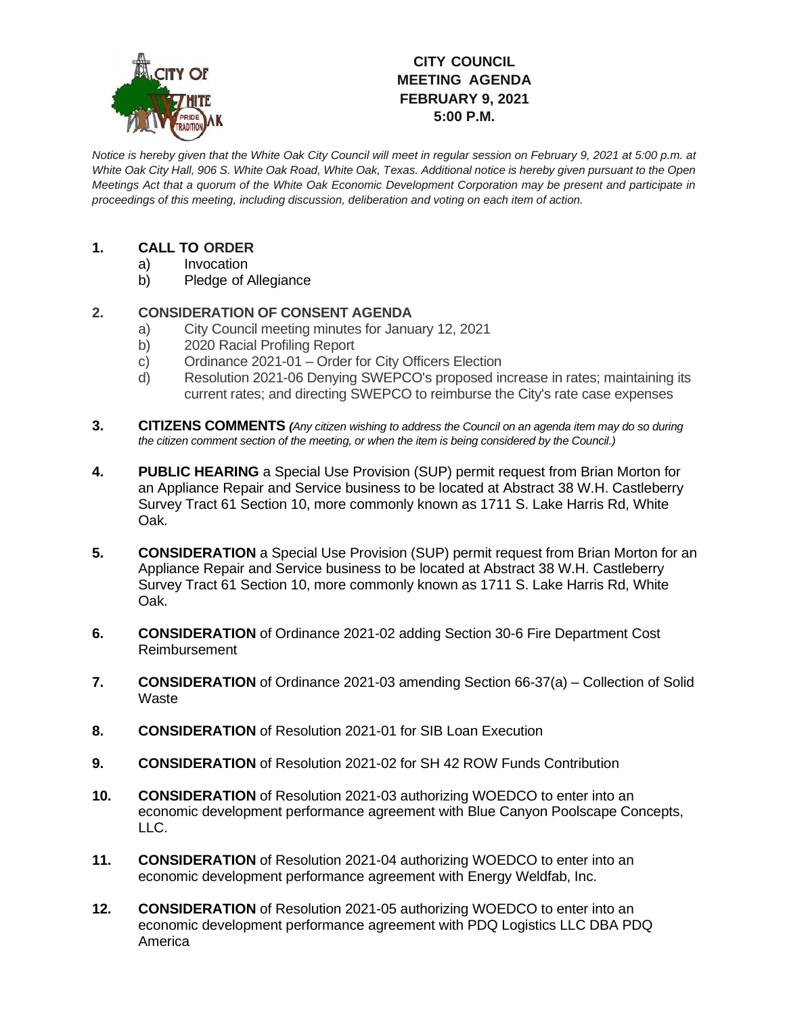

# **CITY COUNCIL MEETING AGENDA FEBRUARY 9, 2021 5:00 P.M.**

*Notice is hereby given that the White Oak City Council will meet in regular session on February 9, 2021 at 5:00 p.m. at White Oak City Hall, 906 S. White Oak Road, White Oak, Texas. Additional notice is hereby given pursuant to the Open Meetings Act that a quorum of the White Oak Economic Development Corporation may be present and participate in proceedings of this meeting, including discussion, deliberation and voting on each item of action.*

## **1. CALL TO ORDER**

- a) Invocation
- b) Pledge of Allegiance

## **2. CONSIDERATION OF CONSENT AGENDA**

- a) City Council meeting minutes for January 12, 2021
- b) 2020 Racial Profiling Report
- c) Ordinance 2021-01 Order for City Officers Election
- d) Resolution 2021-06 Denying SWEPCO's proposed increase in rates; maintaining its current rates; and directing SWEPCO to reimburse the City's rate case expenses
- **3. CITIZENS COMMENTS** *(Any citizen wishing to address the Council on an agenda item may do so during the citizen comment section of the meeting, or when the item is being considered by the Council.)*
- **4. PUBLIC HEARING** a Special Use Provision (SUP) permit request from Brian Morton for an Appliance Repair and Service business to be located at Abstract 38 W.H. Castleberry Survey Tract 61 Section 10, more commonly known as 1711 S. Lake Harris Rd, White Oak.
- **5. CONSIDERATION** a Special Use Provision (SUP) permit request from Brian Morton for an Appliance Repair and Service business to be located at Abstract 38 W.H. Castleberry Survey Tract 61 Section 10, more commonly known as 1711 S. Lake Harris Rd, White Oak.
- **6. CONSIDERATION** of Ordinance 2021-02 adding Section 30-6 Fire Department Cost Reimbursement
- **7. CONSIDERATION** of Ordinance 2021-03 amending Section 66-37(a) Collection of Solid **Waste**
- **8. CONSIDERATION** of Resolution 2021-01 for SIB Loan Execution
- **9. CONSIDERATION** of Resolution 2021-02 for SH 42 ROW Funds Contribution
- **10. CONSIDERATION** of Resolution 2021-03 authorizing WOEDCO to enter into an economic development performance agreement with Blue Canyon Poolscape Concepts, LLC.
- **11. CONSIDERATION** of Resolution 2021-04 authorizing WOEDCO to enter into an economic development performance agreement with Energy Weldfab, Inc.
- **12. CONSIDERATION** of Resolution 2021-05 authorizing WOEDCO to enter into an economic development performance agreement with PDQ Logistics LLC DBA PDQ America